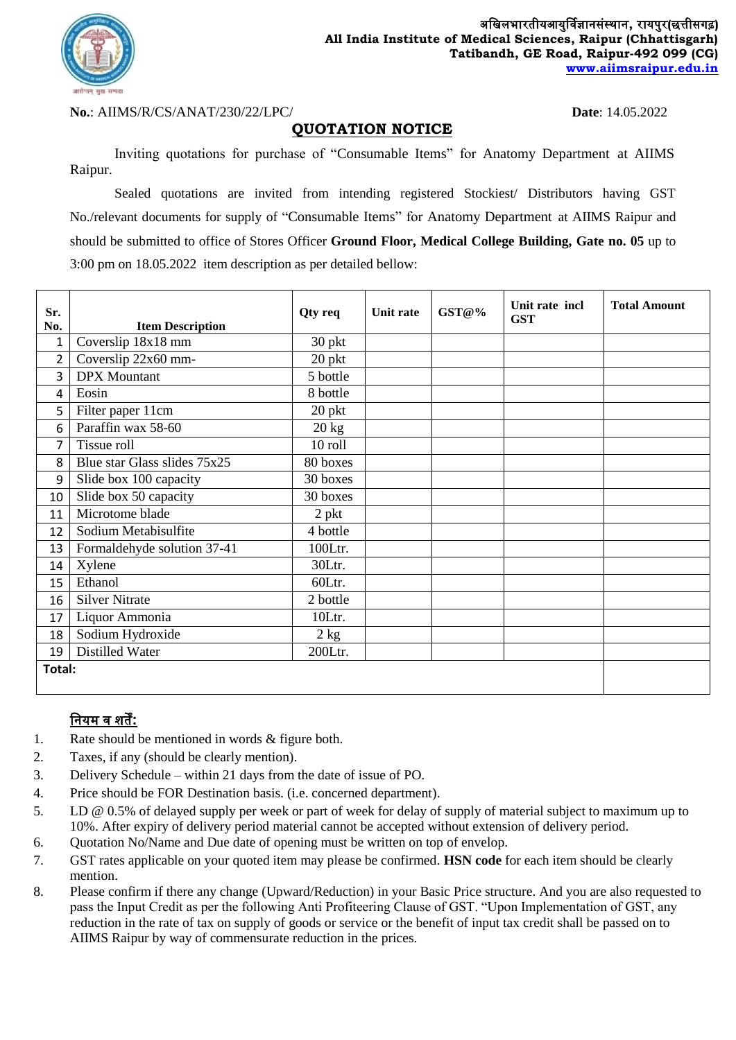

**No.**: AIIMS/R/CS/ANAT/230/22/LPC/ **Date**: 14.05.2022

## **QUOTATION NOTICE**

Inviting quotations for purchase of "Consumable Items" for Anatomy Department at AIIMS Raipur.

Sealed quotations are invited from intending registered Stockiest/ Distributors having GST No./relevant documents for supply of "Consumable Items" for Anatomy Department at AIIMS Raipur and should be submitted to office of Stores Officer **Ground Floor, Medical College Building, Gate no. 05** up to 3:00 pm on 18.05.2022 item description as per detailed bellow:

| Sr.<br>No.     |                                               | Qty req         | Unit rate | GST@% | Unit rate incl<br><b>GST</b> | <b>Total Amount</b> |
|----------------|-----------------------------------------------|-----------------|-----------|-------|------------------------------|---------------------|
| 1              | <b>Item Description</b><br>Coverslip 18x18 mm | 30 pkt          |           |       |                              |                     |
|                |                                               |                 |           |       |                              |                     |
| $\overline{2}$ | Coverslip 22x60 mm-                           | 20 pkt          |           |       |                              |                     |
| 3              | <b>DPX</b> Mountant                           | 5 bottle        |           |       |                              |                     |
| 4              | Eosin                                         | 8 bottle        |           |       |                              |                     |
| 5              | Filter paper 11cm                             | 20 pkt          |           |       |                              |                     |
| 6              | Paraffin wax 58-60                            | $20 \text{ kg}$ |           |       |                              |                     |
| 7              | Tissue roll                                   | 10 roll         |           |       |                              |                     |
| 8              | Blue star Glass slides 75x25                  | 80 boxes        |           |       |                              |                     |
| 9              | Slide box 100 capacity                        | 30 boxes        |           |       |                              |                     |
| 10             | Slide box 50 capacity                         | 30 boxes        |           |       |                              |                     |
| 11             | Microtome blade                               | $2$ pkt         |           |       |                              |                     |
| 12             | Sodium Metabisulfite                          | 4 bottle        |           |       |                              |                     |
| 13             | Formaldehyde solution 37-41                   | 100Ltr.         |           |       |                              |                     |
| 14             | Xylene                                        | 30Ltr.          |           |       |                              |                     |
| 15             | Ethanol                                       | 60Ltr.          |           |       |                              |                     |
| 16             | <b>Silver Nitrate</b>                         | 2 bottle        |           |       |                              |                     |
| 17             | Liquor Ammonia                                | 10Ltr.          |           |       |                              |                     |
| 18             | Sodium Hydroxide                              | 2 kg            |           |       |                              |                     |
| 19             | Distilled Water                               | 200Ltr.         |           |       |                              |                     |
| Total:         |                                               |                 |           |       |                              |                     |

## **नियम व शर्तें:**

- 1. Rate should be mentioned in words & figure both.
- 2. Taxes, if any (should be clearly mention).
- 3. Delivery Schedule within 21 days from the date of issue of PO.
- 4. Price should be FOR Destination basis. (i.e. concerned department).
- 5. LD @ 0.5% of delayed supply per week or part of week for delay of supply of material subject to maximum up to 10%. After expiry of delivery period material cannot be accepted without extension of delivery period.
- 6. Quotation No/Name and Due date of opening must be written on top of envelop.
- 7. GST rates applicable on your quoted item may please be confirmed. **HSN code** for each item should be clearly mention.
- 8. Please confirm if there any change (Upward/Reduction) in your Basic Price structure. And you are also requested to pass the Input Credit as per the following Anti Profiteering Clause of GST. "Upon Implementation of GST, any reduction in the rate of tax on supply of goods or service or the benefit of input tax credit shall be passed on to AIIMS Raipur by way of commensurate reduction in the prices.